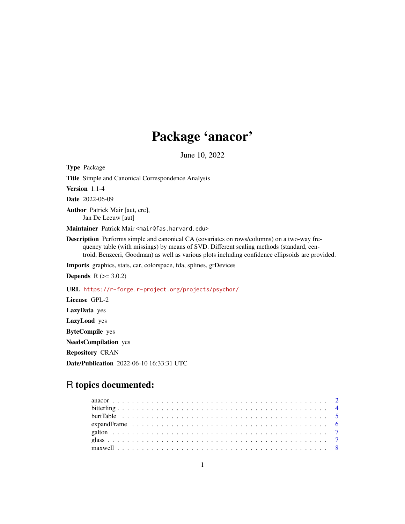## Package 'anacor'

June 10, 2022

Type Package Title Simple and Canonical Correspondence Analysis Version 1.1-4 Date 2022-06-09 Author Patrick Mair [aut, cre], Jan De Leeuw [aut] Maintainer Patrick Mair <mair@fas.harvard.edu> Description Performs simple and canonical CA (covariates on rows/columns) on a two-way frequency table (with missings) by means of SVD. Different scaling methods (standard, centroid, Benzecri, Goodman) as well as various plots including confidence ellipsoids are provided. Imports graphics, stats, car, colorspace, fda, splines, grDevices **Depends**  $R$  ( $>= 3.0.2$ ) URL <https://r-forge.r-project.org/projects/psychor/> License GPL-2 LazyData yes LazyLoad yes ByteCompile yes NeedsCompilation yes

Repository CRAN

Date/Publication 2022-06-10 16:33:31 UTC

### R topics documented:

| maxwell $\ldots$ , $\ldots$ , $\ldots$ , $\ldots$ , $\ldots$ , $\ldots$ , $\ldots$ , $\ldots$ , $\ldots$ , $\ldots$ , $\ldots$ , $\ldots$ , $\ldots$ |  |
|------------------------------------------------------------------------------------------------------------------------------------------------------|--|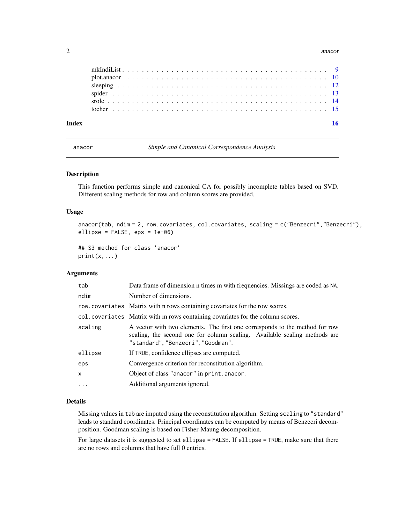#### <span id="page-1-0"></span>2 anacor and 2 anacor and 2 anacor and 2 anacor and 2 anacor and 2 anacor and 2 anacor anacor anacor and 2 anacor and 2 anacor and 2 anacor and 2 anacor and 2 anacor and 2 anacor and 2 anacor and 2 anacor and 2 anacor and

<span id="page-1-1"></span>anacor *Simple and Canonical Correspondence Analysis*

#### Description

This function performs simple and canonical CA for possibly incomplete tables based on SVD. Different scaling methods for row and column scores are provided.

#### Usage

anacor(tab, ndim = 2, row.covariates, col.covariates, scaling = c("Benzecri","Benzecri"), ellipse = FALSE, eps = 1e-06)

## S3 method for class 'anacor'  $print(x, \ldots)$ 

#### Arguments

| tab        | Data frame of dimension n times m with frequencies. Missings are coded as NA.                                                                                                                  |  |  |  |  |  |  |
|------------|------------------------------------------------------------------------------------------------------------------------------------------------------------------------------------------------|--|--|--|--|--|--|
| ndim       | Number of dimensions.                                                                                                                                                                          |  |  |  |  |  |  |
|            | row.covariates Matrix with n rows containing covariates for the row scores.                                                                                                                    |  |  |  |  |  |  |
|            | col. covariates Matrix with m rows containing covariates for the column scores.                                                                                                                |  |  |  |  |  |  |
| scaling    | A vector with two elements. The first one corresponds to the method for row<br>scaling, the second one for column scaling. Available scaling methods are<br>"standard", "Benzecri", "Goodman". |  |  |  |  |  |  |
| ellipse    | If TRUE, confidence ellipses are computed.                                                                                                                                                     |  |  |  |  |  |  |
| eps        | Convergence criterion for reconstitution algorithm.                                                                                                                                            |  |  |  |  |  |  |
| X          | Object of class "anacor" in print. anacor.                                                                                                                                                     |  |  |  |  |  |  |
| $\ddots$ . | Additional arguments ignored.                                                                                                                                                                  |  |  |  |  |  |  |

#### Details

Missing values in tab are imputed using the reconstitution algorithm. Setting scaling to "standard" leads to standard coordinates. Principal coordinates can be computed by means of Benzecri decomposition. Goodman scaling is based on Fisher-Maung decomposition.

For large datasets it is suggested to set ellipse = FALSE. If ellipse = TRUE, make sure that there are no rows and columns that have full 0 entries.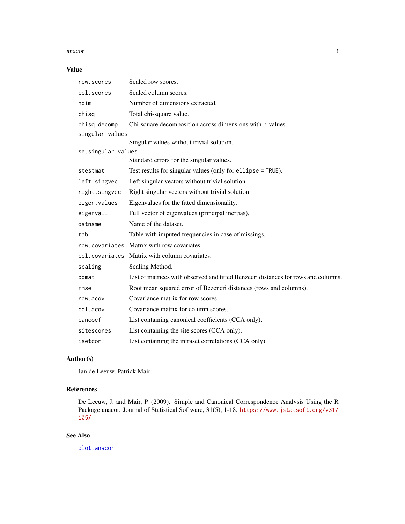#### <span id="page-2-0"></span>anacor 3

#### Value

| row.scores         | Scaled row scores.                                                                 |
|--------------------|------------------------------------------------------------------------------------|
| col.scores         | Scaled column scores.                                                              |
| ndim               | Number of dimensions extracted.                                                    |
| chisq              | Total chi-square value.                                                            |
| chisq.decomp       | Chi-square decomposition across dimensions with p-values.                          |
| singular.values    |                                                                                    |
|                    | Singular values without trivial solution.                                          |
| se.singular.values |                                                                                    |
|                    | Standard errors for the singular values.                                           |
| stestmat           | Test results for singular values (only for ellipse = TRUE).                        |
| left.singvec       | Left singular vectors without trivial solution.                                    |
| right.singvec      | Right singular vectors without trivial solution.                                   |
| eigen.values       | Eigenvalues for the fitted dimensionality.                                         |
| eigenvall          | Full vector of eigenvalues (principal inertias).                                   |
| datname            | Name of the dataset.                                                               |
| tab                | Table with imputed frequencies in case of missings.                                |
|                    | row covariates Matrix with row covariates.                                         |
|                    | col. covariates Matrix with column covariates.                                     |
| scaling            | Scaling Method.                                                                    |
| bdmat              | List of matrices with observed and fitted Benzecri distances for rows and columns. |
| rmse               | Root mean squared error of Bezencri distances (rows and columns).                  |
| row.acov           | Covariance matrix for row scores.                                                  |
| col.acov           | Covariance matrix for column scores.                                               |
| cancoef            | List containing canonical coefficients (CCA only).                                 |
| sitescores         | List containing the site scores (CCA only).                                        |
| isetcor            | List containing the intraset correlations (CCA only).                              |

#### Author(s)

Jan de Leeuw, Patrick Mair

#### References

De Leeuw, J. and Mair, P. (2009). Simple and Canonical Correspondence Analysis Using the R Package anacor. Journal of Statistical Software, 31(5), 1-18. [https://www.jstatsoft.org/v31/](https://www.jstatsoft.org/v31/i05/) [i05/](https://www.jstatsoft.org/v31/i05/)

#### See Also

[plot.anacor](#page-9-1)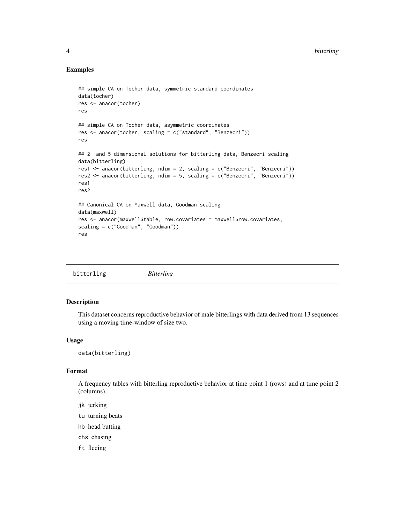#### Examples

```
## simple CA on Tocher data, symmetric standard coordinates
data(tocher)
res <- anacor(tocher)
res
## simple CA on Tocher data, asymmetric coordinates
res <- anacor(tocher, scaling = c("standard", "Benzecri"))
res
## 2- and 5-dimensional solutions for bitterling data, Benzecri scaling
data(bitterling)
res1 <- anacor(bitterling, ndim = 2, scaling = c("Benzecri", "Benzecri"))
res2 <- anacor(bitterling, ndim = 5, scaling = c("Benzecri", "Benzecri"))
res1
res2
## Canonical CA on Maxwell data, Goodman scaling
data(maxwell)
res <- anacor(maxwell$table, row.covariates = maxwell$row.covariates,
scaling = c("Goodman", "Goodman"))
res
```
#### Description

This dataset concerns reproductive behavior of male bitterlings with data derived from 13 sequences using a moving time-window of size two.

#### Usage

data(bitterling)

#### Format

A frequency tables with bitterling reproductive behavior at time point 1 (rows) and at time point 2 (columns).

jk jerking tu turning beats hb head butting

chs chasing

ft fleeing

<span id="page-3-0"></span>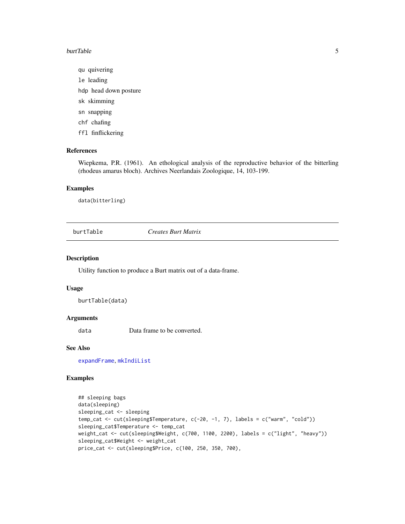#### <span id="page-4-0"></span>burtTable 5

qu quivering

le leading

hdp head down posture

sk skimming

sn snapping

chf chafing

ffl finflickering

#### References

Wiepkema, P.R. (1961). An ethological analysis of the reproductive behavior of the bitterling (rhodeus amarus bloch). Archives Neerlandais Zoologique, 14, 103-199.

#### Examples

data(bitterling)

<span id="page-4-1"></span>burtTable *Creates Burt Matrix*

#### Description

Utility function to produce a Burt matrix out of a data-frame.

#### Usage

burtTable(data)

#### Arguments

data Data frame to be converted.

#### See Also

[expandFrame](#page-5-1), [mkIndiList](#page-8-1)

```
## sleeping bags
data(sleeping)
sleeping_cat <- sleeping
temp_cat <- cut(sleeping$Temperature, c(-20, -1, 7), labels = c("warm", "cold"))
sleeping_cat$Temperature <- temp_cat
weight_cat <- cut(sleeping$Weight, c(700, 1100, 2200), labels = c("light", "heavy"))
sleeping_cat$Weight <- weight_cat
price_cat <- cut(sleeping$Price, c(100, 250, 350, 700),
```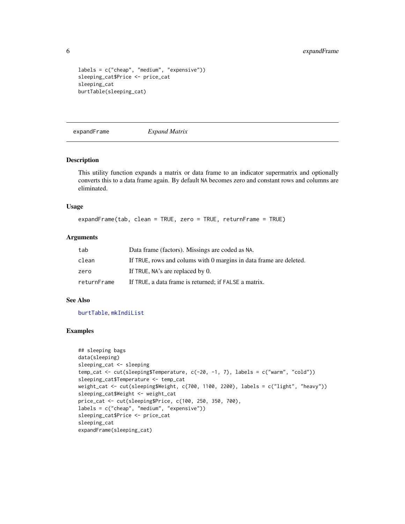```
labels = c("cheap", "medium", "expensive"))
sleeping_cat$Price <- price_cat
sleeping_cat
burtTable(sleeping_cat)
```
<span id="page-5-1"></span>expandFrame *Expand Matrix*

#### Description

This utility function expands a matrix or data frame to an indicator supermatrix and optionally converts this to a data frame again. By default NA becomes zero and constant rows and columns are eliminated.

#### Usage

expandFrame(tab, clean = TRUE, zero = TRUE, returnFrame = TRUE)

#### **Arguments**

| tab         | Data frame (factors). Missings are coded as NA.                    |
|-------------|--------------------------------------------------------------------|
| clean       | If TRUE, rows and colums with 0 margins in data frame are deleted. |
| zero        | If TRUE, NA's are replaced by 0.                                   |
| returnFrame | If TRUE, a data frame is returned; if FALSE a matrix.              |

#### See Also

[burtTable](#page-4-1), [mkIndiList](#page-8-1)

```
## sleeping bags
data(sleeping)
sleeping_cat <- sleeping
temp_cat <- cut(sleeping$Temperature, c(-20, -1, 7), labels = c("warm", "cold"))
sleeping_cat$Temperature <- temp_cat
weight_cat <- cut(sleeping$Weight, c(700, 1100, 2200), labels = c("light", "heavy"))
sleeping_cat$Weight <- weight_cat
price_cat <- cut(sleeping$Price, c(100, 250, 350, 700),
labels = c("cheap", "medium", "expensive"))
sleeping_cat$Price <- price_cat
sleeping_cat
expandFrame(sleeping_cat)
```
<span id="page-5-0"></span>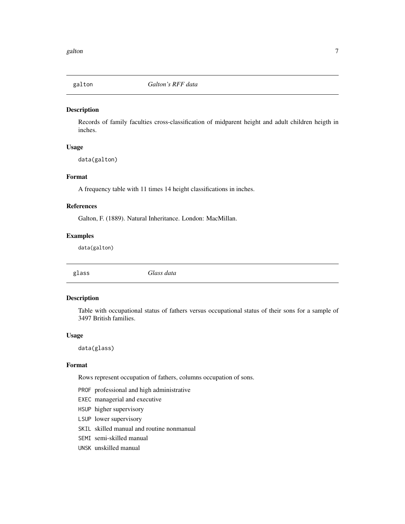<span id="page-6-0"></span>

#### Description

Records of family faculties cross-classification of midparent height and adult children heigth in inches.

#### Usage

data(galton)

#### Format

A frequency table with 11 times 14 height classifications in inches.

#### References

Galton, F. (1889). Natural Inheritance. London: MacMillan.

#### Examples

data(galton)

glass *Glass data*

#### Description

Table with occupational status of fathers versus occupational status of their sons for a sample of 3497 British families.

#### Usage

data(glass)

#### Format

Rows represent occupation of fathers, columns occupation of sons.

- PROF professional and high administrative
- EXEC managerial and executive
- HSUP higher supervisory
- LSUP lower supervisory
- SKIL skilled manual and routine nonmanual
- SEMI semi-skilled manual
- UNSK unskilled manual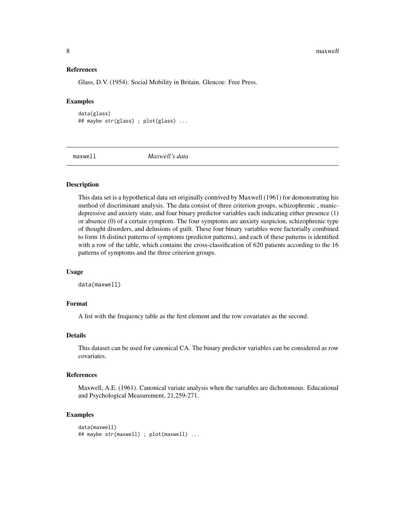#### <span id="page-7-0"></span>8 maxwell

#### References

Glass, D.V. (1954). Social Mobility in Britain. Glencoe: Free Press.

#### Examples

```
data(glass)
## maybe str(glass) ; plot(glass) ...
```
maxwell *Maxwell's data*

#### Description

This data set is a hypothetical data set originally contrived by Maxwell (1961) for demonstrating his method of discriminant analysis. The data consist of three criterion groups, schizophrenic , manicdepressive and anxiety state, and four binary predictor variables each indicating either presence (1) or absence (0) of a certain symptom. The four symptoms are anxiety suspicion, schizophrenic type of thought disorders, and delusions of guilt. These four binary variables were factorially combined to form 16 distinct patterns of symptoms (predictor patterns), and each of these patterns is identified with a row of the table, which contains the cross-classification of 620 patients according to the 16 patterns of symptoms and the three criterion groups.

#### Usage

data(maxwell)

#### Format

A list with the frequency table as the first element and the row covariates as the second.

#### Details

This dataset can be used for canonical CA. The binary predictor variables can be considered as row covariates.

#### References

Maxwell, A.E. (1961). Canonical variate analysis when the variables are dichotomous. Educational and Psychological Measurement, 21,259-271.

```
data(maxwell)
## maybe str(maxwell) ; plot(maxwell) ...
```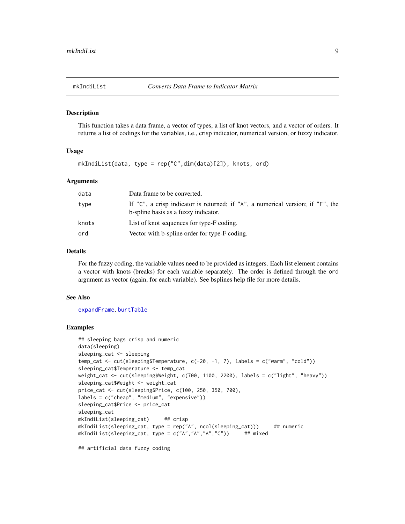<span id="page-8-1"></span><span id="page-8-0"></span>

#### Description

This function takes a data frame, a vector of types, a list of knot vectors, and a vector of orders. It returns a list of codings for the variables, i.e., crisp indicator, numerical version, or fuzzy indicator.

#### Usage

mkIndiList(data, type = rep("C",dim(data)[2]), knots, ord)

#### Arguments

| data  | Data frame to be converted.                                                                                                         |
|-------|-------------------------------------------------------------------------------------------------------------------------------------|
| type  | If " $C$ ", a crisp indicator is returned; if " $A$ ", a numerical version; if " $F$ ", the<br>b-spline basis as a fuzzy indicator. |
| knots | List of knot sequences for type-F coding.                                                                                           |
| ord   | Vector with b-spline order for type-F coding.                                                                                       |
|       |                                                                                                                                     |

#### Details

For the fuzzy coding, the variable values need to be provided as integers. Each list element contains a vector with knots (breaks) for each variable separately. The order is defined through the ord argument as vector (again, for each variable). See bsplines help file for more details.

#### See Also

[expandFrame](#page-5-1), [burtTable](#page-4-1)

#### Examples

```
## sleeping bags crisp and numeric
data(sleeping)
sleeping_cat <- sleeping
temp_cat <- cut(sleeping$Temperature, c(-20, -1, 7), labels = c("warm", "cold"))
sleeping_cat$Temperature <- temp_cat
weight_cat <- cut(sleeping$Weight, c(700, 1100, 2200), labels = c("light", "heavy"))
sleeping_cat$Weight <- weight_cat
price_cat <- cut(sleeping$Price, c(100, 250, 350, 700),
labels = c("cheap", "medium", "expensive"))
sleeping_cat$Price <- price_cat
sleeping_cat
mkIndiList(sleeping_cat) ## crisp
mkIndiList(sleeping_cat, type = rep("A", ncol(sleeping_cat))) ## numeric
mkIndiList(sleeping_cat, type = c("A","A","A","C")) ## mixed
```
## artificial data fuzzy coding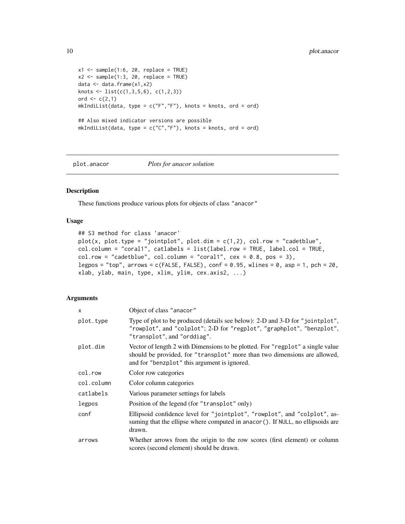```
x1 \leftarrow sample(1:6, 20, replace = TRUE)
x2 \leq - sample(1:3, 20, replace = TRUE)
data <- data.frame(x1,x2)
knots \le list(c(1,3,5,6), c(1,2,3))
ord <-c(2,1)mkIndilist(data, type = c("F", "F"), knots = knots, ord = ord)
## Also mixed indicator versions are possible
mkIndiList(data, type = c("C", "F"), knots = knots, ord = ord)
```
<span id="page-9-1"></span>

plot.anacor *Plots for anacor solution*

#### Description

These functions produce various plots for objects of class "anacor"

#### Usage

```
## S3 method for class 'anacor'
plot(x, plot.type = "jointplot", plot.dim = c(1,2), col.row = "cadetblue",
col.column = "coral1", catlabels = list(label.row = TRUE, label.col = TRUE,
col(row = "cadetblue", col-column = "corall", cex = 0.8, pos = 3),legpos = "top", arrows = c(FALSE, FALSE), conf = 0.95, wlines = 0, asp = 1, pch = 20,
xlab, ylab, main, type, xlim, ylim, cex.axis2, ...)
```
#### Arguments

| x          | Object of class "anacor"                                                                                                                                                                                    |
|------------|-------------------------------------------------------------------------------------------------------------------------------------------------------------------------------------------------------------|
| plot.type  | Type of plot to be produced (details see below): 2-D and 3-D for "jointplot",<br>"rowplot", and "colplot"; 2-D for "regplot", "graphplot", "benzplot",<br>"transplot", and "orddiag".                       |
| plot.dim   | Vector of length 2 with Dimensions to be plotted. For "regplot" a single value<br>should be provided, for "transplot" more than two dimensions are allowed,<br>and for "benzplot" this argument is ignored. |
| col.row    | Color row categories                                                                                                                                                                                        |
| col.column | Color column categories                                                                                                                                                                                     |
| catlabels  | Various parameter settings for labels                                                                                                                                                                       |
| legpos     | Position of the legend (for "transplot" only)                                                                                                                                                               |
| conf       | Ellipsoid confidence level for "jointplot", "rowplot", and "colplot", as-<br>suming that the ellipse where computed in anacor(). If NULL, no ellipsoids are<br>drawn.                                       |
| arrows     | Whether arrows from the origin to the row scores (first element) or column<br>scores (second element) should be drawn.                                                                                      |

<span id="page-9-0"></span>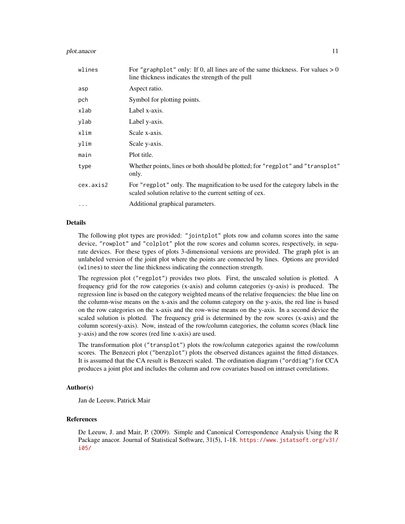#### plot.anacor 11

| wlines    | For "graphplot" only: If 0, all lines are of the same thickness. For values $> 0$<br>line thickness indicates the strength of the pull     |
|-----------|--------------------------------------------------------------------------------------------------------------------------------------------|
| asp       | Aspect ratio.                                                                                                                              |
| pch       | Symbol for plotting points.                                                                                                                |
| xlab      | Label x-axis.                                                                                                                              |
| ylab      | Label y-axis.                                                                                                                              |
| xlim      | Scale x-axis.                                                                                                                              |
| ylim      | Scale y-axis.                                                                                                                              |
| main      | Plot title.                                                                                                                                |
| type      | Whether points, lines or both should be plotted; for "regplot" and "transplot"<br>only.                                                    |
| cex.axis2 | For "regplot" only. The magnification to be used for the category labels in the<br>scaled solution relative to the current setting of cex. |
| $\ddotsc$ | Additional graphical parameters.                                                                                                           |

#### Details

The following plot types are provided: "jointplot" plots row and column scores into the same device, "rowplot" and "colplot" plot the row scores and column scores, respectively, in separate devices. For these types of plots 3-dimensional versions are provided. The graph plot is an unlabeled version of the joint plot where the points are connected by lines. Options are provided (wlines) to steer the line thickness indicating the connection strength.

The regression plot ("regplot") provides two plots. First, the unscaled solution is plotted. A frequency grid for the row categories (x-axis) and column categories (y-axis) is produced. The regression line is based on the category weighted means of the relative frequencies: the blue line on the column-wise means on the x-axis and the column category on the y-axis, the red line is based on the row categories on the x-axis and the row-wise means on the y-axis. In a second device the scaled solution is plotted. The frequency grid is determined by the row scores (x-axis) and the column scores(y-axis). Now, instead of the row/column categories, the column scores (black line y-axis) and the row scores (red line x-axis) are used.

The transformation plot ("transplot") plots the row/column categories against the row/column scores. The Benzecri plot ("benzplot") plots the observed distances against the fitted distances. It is assumed that the CA result is Benzecri scaled. The ordination diagram ("orddiag") for CCA produces a joint plot and includes the column and row covariates based on intraset correlations.

#### Author(s)

Jan de Leeuw, Patrick Mair

#### References

De Leeuw, J. and Mair, P. (2009). Simple and Canonical Correspondence Analysis Using the R Package anacor. Journal of Statistical Software, 31(5), 1-18. [https://www.jstatsoft.org/v31/](https://www.jstatsoft.org/v31/i05/) [i05/](https://www.jstatsoft.org/v31/i05/)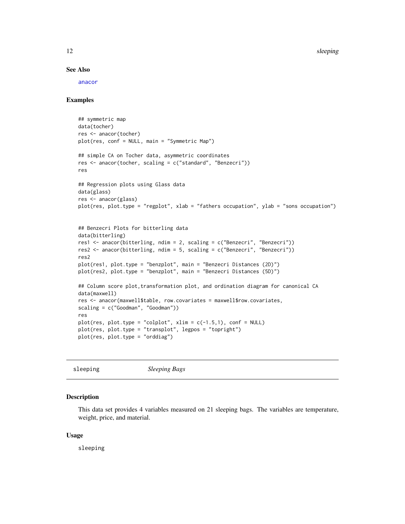#### See Also

[anacor](#page-1-1)

#### Examples

```
## symmetric map
data(tocher)
res <- anacor(tocher)
plot(res, conf = NULL, main = "Symmetric Map")
## simple CA on Tocher data, asymmetric coordinates
res <- anacor(tocher, scaling = c("standard", "Benzecri"))
res
## Regression plots using Glass data
data(glass)
res <- anacor(glass)
plot(res, plot.type = "regplot", xlab = "fathers occupation", ylab = "sons occupation")
## Benzecri Plots for bitterling data
data(bitterling)
res1 <- anacor(bitterling, ndim = 2, scaling = c("Benzecri", "Benzecri"))
res2 <- anacor(bitterling, ndim = 5, scaling = c("Benzecri", "Benzecri"))
res2
plot(res1, plot.type = "benzplot", main = "Benzecri Distances (2D)")
plot(res2, plot.type = "benzplot", main = "Benzecri Distances (5D)")
## Column score plot, transformation plot, and ordination diagram for canonical CA
data(maxwell)
res <- anacor(maxwell$table, row.covariates = maxwell$row.covariates,
scaling = c("Goodman", "Goodman"))
res
plot(res, plot.type = "colplot", xlim = c(-1.5,1), conf = NULL)
plot(res, plot.type = "transplot", legpos = "topright")
plot(res, plot.type = "orddiag")
```
sleeping *Sleeping Bags*

#### Description

This data set provides 4 variables measured on 21 sleeping bags. The variables are temperature, weight, price, and material.

#### Usage

sleeping

<span id="page-11-0"></span>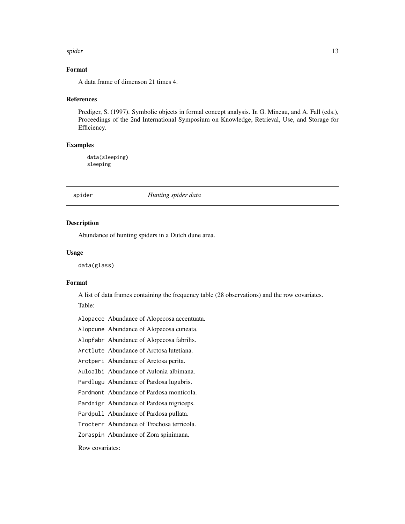#### <span id="page-12-0"></span>spider to the state of the state of the state of the state of the state of the state of the state of the state of the state of the state of the state of the state of the state of the state of the state of the state of the

#### Format

A data frame of dimenson 21 times 4.

#### References

Prediger, S. (1997). Symbolic objects in formal concept analysis. In G. Mineau, and A. Fall (eds.), Proceedings of the 2nd International Symposium on Knowledge, Retrieval, Use, and Storage for Efficiency.

#### Examples

data(sleeping) sleeping

spider *Hunting spider data*

#### Description

Abundance of hunting spiders in a Dutch dune area.

#### Usage

data(glass)

#### Format

A list of data frames containing the frequency table (28 observations) and the row covariates. Table:

Alopacce Abundance of Alopecosa accentuata.

Alopcune Abundance of Alopecosa cuneata.

Alopfabr Abundance of Alopecosa fabrilis.

Arctlute Abundance of Arctosa lutetiana.

Arctperi Abundance of Arctosa perita.

Auloalbi Abundance of Aulonia albimana.

Pardlugu Abundance of Pardosa lugubris.

Pardmont Abundance of Pardosa monticola.

Pardnigr Abundance of Pardosa nigriceps.

Pardpull Abundance of Pardosa pullata.

Trocterr Abundance of Trochosa terricola.

Zoraspin Abundance of Zora spinimana.

Row covariates: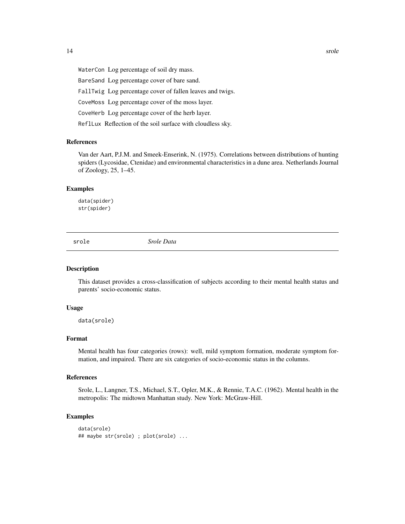WaterCon Log percentage of soil dry mass. BareSand Log percentage cover of bare sand. FallTwig Log percentage cover of fallen leaves and twigs. CoveMoss Log percentage cover of the moss layer. CoveHerb Log percentage cover of the herb layer. ReflLux Reflection of the soil surface with cloudless sky.

#### References

Van der Aart, P.J.M. and Smeek-Enserink, N. (1975). Correlations between distributions of hunting spiders (Lycosidae, Ctenidae) and environmental characteristics in a dune area. Netherlands Journal of Zoology, 25, 1–45.

#### Examples

data(spider) str(spider)

srole *Srole Data*

#### Description

This dataset provides a cross-classification of subjects according to their mental health status and parents' socio-economic status.

#### Usage

data(srole)

#### Format

Mental health has four categories (rows): well, mild symptom formation, moderate symptom formation, and impaired. There are six categories of socio-economic status in the columns.

#### References

Srole, L., Langner, T.S., Michael, S.T., Opler, M.K., & Rennie, T.A.C. (1962). Mental health in the metropolis: The midtown Manhattan study. New York: McGraw-Hill.

#### Examples

```
data(srole)
## maybe str(srole) ; plot(srole) ...
```
<span id="page-13-0"></span>14 srole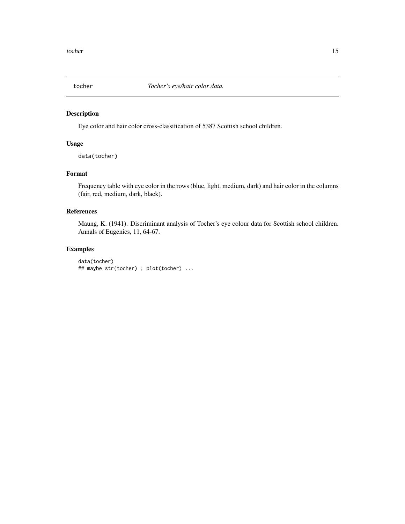<span id="page-14-0"></span>

#### Description

Eye color and hair color cross-classification of 5387 Scottish school children.

#### Usage

data(tocher)

#### Format

Frequency table with eye color in the rows (blue, light, medium, dark) and hair color in the columns (fair, red, medium, dark, black).

#### References

Maung, K. (1941). Discriminant analysis of Tocher's eye colour data for Scottish school children. Annals of Eugenics, 11, 64-67.

```
data(tocher)
## maybe str(tocher) ; plot(tocher) ...
```